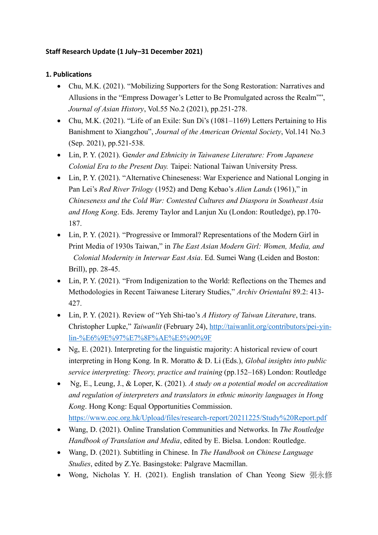# **Staff Research Update (1 July–31 December 2021)**

### **1. Publications**

- Chu, M.K. (2021). "Mobilizing Supporters for the Song Restoration: Narratives and Allusions in the "Empress Dowager's Letter to Be Promulgated across the Realm"", *Journal of Asian History*, Vol.55 No.2 (2021), pp.251-278.
- Chu, M.K. (2021). "Life of an Exile: Sun Di's (1081–1169) Letters Pertaining to His Banishment to Xiangzhou", *Journal of the American Oriental Society*, Vol.141 No.3 (Sep. 2021), pp.521-538.
- Lin, P. Y. (2021). Ge*nder and Ethnicity in Taiwanese Literature: From Japanese Colonial Era to the Present Day.* Taipei: National Taiwan University Press.
- Lin, P. Y. (2021). "Alternative Chineseness: War Experience and National Longing in Pan Lei's *Red River Trilogy* (1952) and Deng Kebao's *Alien Lands* (1961)," in *Chineseness and the Cold War: Contested Cultures and Diaspora in Southeast Asia and Hong Kong*. Eds. Jeremy Taylor and Lanjun Xu (London: Routledge), pp.170- 187.
- Lin, P. Y. (2021). "Progressive or Immoral? Representations of the Modern Girl in Print Media of 1930s Taiwan," in *The East Asian Modern Girl: Women, Media, and Colonial Modernity in Interwar East Asia*. Ed. Sumei Wang (Leiden and Boston: Brill), pp. 28-45.
- Lin, P. Y. (2021). "From Indigenization to the World: Reflections on the Themes and Methodologies in Recent Taiwanese Literary Studies," *Archiv Orientalni* 89.2: 413- 427.
- Lin, P. Y. (2021). Review of "Yeh Shi-tao's *A History of Taiwan Literature*, trans. Christopher Lupke," *Taiwanlit* (February 24), [http://taiwanlit.org/contributors/pei-yin](http://taiwanlit.org/contributors/pei-yin-lin-%E6%9E%97%E7%8F%AE%E5%90%9F)[lin-%E6%9E%97%E7%8F%AE%E5%90%9F](http://taiwanlit.org/contributors/pei-yin-lin-%E6%9E%97%E7%8F%AE%E5%90%9F)
- Ng, E. (2021). Interpreting for the linguistic majority: A historical review of court interpreting in Hong Kong. In R. Moratto & D. Li (Eds.), *Global insights into public service interpreting: Theory, practice and training* (pp.152–168) London: Routledge
- Ng, E., Leung, J., & Loper, K. (2021). *A study on a potential model on accreditation and regulation of interpreters and translators in ethnic minority languages in Hong Kong*. Hong Kong: Equal Opportunities Commission. <https://www.eoc.org.hk/Upload/files/research-report/20211225/Study%20Report.pdf>
- Wang, D. (2021). Online Translation Communities and Networks. In *The Routledge Handbook of Translation and Media*, edited by E. Bielsa. London: Routledge.
- Wang, D. (2021). Subtitling in Chinese. In *The Handbook on Chinese Language Studies*, edited by Z.Ye. Basingstoke: Palgrave Macmillan.
- Wong, Nicholas Y. H. (2021). English translation of Chan Yeong Siew 張永修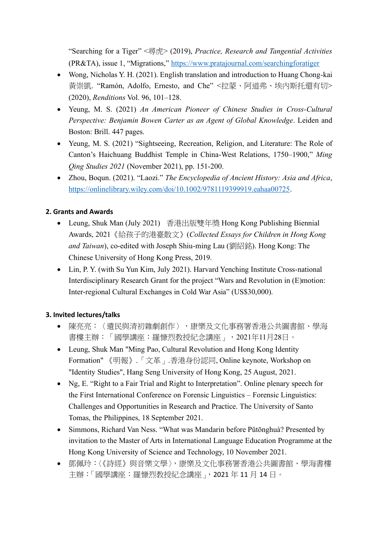"Searching for a Tiger" <尋虎> (2019), *Practice, Research and Tangential Activities* (PR&TA), issue 1, "Migrations,"<https://www.pratajournal.com/searchingforatiger>

- Wong, Nicholas Y. H. (2021). English translation and introduction to Huang Chong-kai 黃崇凱. "Ramón, Adolfo, Ernesto, and Che" <拉蒙、阿道弗、埃內斯托還有切> (2020), *Renditions* Vol. 96, 101–128.
- Yeung, M. S. (2021) *An American Pioneer of Chinese Studies in Cross-Cultural Perspective: Benjamin Bowen Carter as an Agent of Global Knowledge*. Leiden and Boston: Brill. 447 pages.
- Yeung, M. S. (2021) "Sightseeing, Recreation, Religion, and Literature: The Role of Canton's Haichuang Buddhist Temple in China-West Relations, 1750–1900," *Ming Qing Studies 2021* (November 2021), pp. 151-200.
- Zhou, Boqun. (2021). "Laozi." *The Encyclopedia of Ancient History: Asia and Africa*, [https://onlinelibrary.wiley.com/doi/10.1002/9781119399919.eahaa00725.](https://onlinelibrary.wiley.com/doi/10.1002/9781119399919.eahaa00725)

#### **2. Grants and Awards**

- Leung, Shuk Man (July 2021) 香港出版雙年獎 Hong Kong Publishing Biennial Awards, 2021《給孩子的港臺散文》(*Collected Essays for Children in Hong Kong and Taiwan*), co-edited with Joseph Shiu-ming Lau (劉紹銘). Hong Kong: The Chinese University of Hong Kong Press, 2019.
- Lin, P. Y. (with Su Yun Kim, July 2021). Harvard Yenching Institute Cross-national Interdisciplinary Research Grant for the project "Wars and Revolution in (E)motion: Inter-regional Cultural Exchanges in Cold War Asia" (US\$30,000).

# **3. Invited lectures/talks**

- 陳亮亮:〈遺民與清初雜劇創作〉,康樂及文化事務署香港公共圖書館、學海 書樓主辦:「國學講座:羅慷烈教授紀念講座」,2021年11月28日。
- Leung, Shuk Man "Ming Pao, Cultural Revolution and Hong Kong Identity Formation" 《明報》.「文革」.香港身份認同, Online keynote, Workshop on "Identity Studies", Hang Seng University of Hong Kong, 25 August, 2021.
- Ng, E. "Right to a Fair Trial and Right to Interpretation". Online plenary speech for the First International Conference on Forensic Linguistics – Forensic Linguistics: Challenges and Opportunities in Research and Practice. The University of Santo Tomas, the Philippines, 18 September 2021.
- Simmons, Richard Van Ness. "What was Mandarin before Pǔtōnghuà? Presented by invitation to the Master of Arts in International Language Education Programme at the Hong Kong University of Science and Technology, 10 November 2021.
- 鄧佩玲:〈《詩經》與音樂文學〉,康樂及文化事務署香港公共圖書館、學海書樓 主辦:「國學講座:羅慷烈教授紀念講座」,2021 年 11 月 14 日。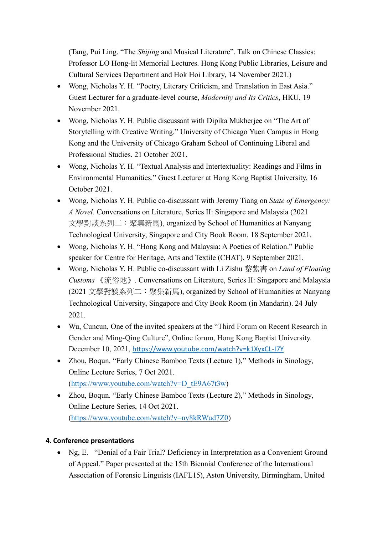(Tang, Pui Ling. "The *Shijing* and Musical Literature". Talk on Chinese Classics: Professor LO Hong-lit Memorial Lectures. Hong Kong Public Libraries, Leisure and Cultural Services Department and Hok Hoi Library, 14 November 2021.)

- Wong, Nicholas Y. H. "Poetry, Literary Criticism, and Translation in East Asia." Guest Lecturer for a graduate-level course, *Modernity and Its Critics*, HKU, 19 November 2021.
- Wong, Nicholas Y. H. Public discussant with Dipika Mukherjee on "The Art of Storytelling with Creative Writing." University of Chicago Yuen Campus in Hong Kong and the University of Chicago Graham School of Continuing Liberal and Professional Studies. 21 October 2021.
- Wong, Nicholas Y. H. "Textual Analysis and Intertextuality: Readings and Films in Environmental Humanities." Guest Lecturer at Hong Kong Baptist University, 16 October 2021.
- Wong, Nicholas Y. H. Public co-discussant with Jeremy Tiang on *State of Emergency: A Novel.* Conversations on Literature, Series II: Singapore and Malaysia (2021 文學對談系列二:聚集新馬), organized by School of Humanities at Nanyang Technological University, Singapore and City Book Room. 18 September 2021.
- Wong, Nicholas Y. H. "Hong Kong and Malaysia: A Poetics of Relation." Public speaker for Centre for Heritage, Arts and Textile (CHAT), 9 September 2021.
- Wong, Nicholas Y. H. Public co-discussant with Li Zishu 黎紫書 on *Land of Floating Customs* 《流俗地》. Conversations on Literature, Series II: Singapore and Malaysia (2021 文學對談系列二:聚集新馬), organized by School of Humanities at Nanyang Technological University, Singapore and City Book Room (in Mandarin). 24 July 2021.
- Wu, Cuncun, One of the invited speakers at the "Third Forum on Recent Research in Gender and Ming-Qing Culture", Online forum, Hong Kong Baptist University. December 10, 2021, <https://www.youtube.com/watch?v=k1XyxCL-I7Y>
- Zhou, Boqun. "Early Chinese Bamboo Texts (Lecture 1)," Methods in Sinology, Online Lecture Series, 7 Oct 2021. [\(https://www.youtube.com/watch?v=D\\_tE9A67t3w\)](https://www.youtube.com/watch?v=D_tE9A67t3w)
- Zhou, Boqun. "Early Chinese Bamboo Texts (Lecture 2)," Methods in Sinology, Online Lecture Series, 14 Oct 2021. [\(https://www.youtube.com/watch?v=ny8kRWud7Z0\)](https://www.youtube.com/watch?v=ny8kRWud7Z0)

# **4. Conference presentations**

• Ng, E. "Denial of a Fair Trial? Deficiency in Interpretation as a Convenient Ground of Appeal." Paper presented at the 15th Biennial Conference of the International Association of Forensic Linguists (IAFL15), Aston University, Birmingham, United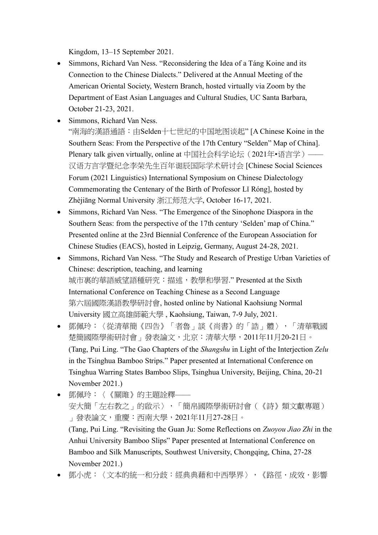Kingdom, 13–15 September 2021.

- Simmons, Richard Van Ness. "Reconsidering the Idea of a Táng Koine and its Connection to the Chinese Dialects." Delivered at the Annual Meeting of the American Oriental Society, Western Branch, hosted virtually via Zoom by the Department of East Asian Languages and Cultural Studies, UC Santa Barbara, October 21-23, 2021.
- Simmons, Richard Van Ness. "南海的漢語通語:由Selden十七世纪的中国地图谈起" [A Chinese Koine in the Southern Seas: From the Perspective of the 17th Century "Selden" Map of China]. Plenary talk given virtually, online at 中国社会科学论坛 (2021年•语言学)—— 汉语方言学暨纪念李荣先生百年诞辰国际学术研讨会 [Chinese Social Sciences Forum (2021 Linguistics) International Symposium on Chinese Dialectology Commemorating the Centenary of the Birth of Professor Lǐ Róng], hosted by Zhèjiāng Normal University 浙江师范大学, October 16-17, 2021.
- Simmons, Richard Van Ness. "The Emergence of the Sinophone Diaspora in the Southern Seas: from the perspective of the 17th century 'Selden' map of China." Presented online at the 23rd Biennial Conference of the European Association for Chinese Studies (EACS), hosted in Leipzig, Germany, August 24-28, 2021.
- Simmons, Richard Van Ness. "The Study and Research of Prestige Urban Varieties of Chinese: description, teaching, and learning 城市裏的華語威望語種研究:描述,教學和學習." Presented at the Sixth International Conference on Teaching Chinese as a Second Language 第六屆國際漢語教學研討會, hosted online by National Kaohsiung Normal University 國立高雄師範大學 , Kaohsiung, Taiwan, 7-9 July, 2021.
- 鄧佩玲:〈從清華簡《四告》「者魯」談《尚書》的「誥」體〉,「清華戰國 楚簡國際學術研討會」發表論文,北京:清華大學,2011年11月20-21日。 (Tang, Pui Ling. "The Gao Chapters of the *Shangshu* in Light of the Interjection *Zelu* in the Tsinghua Bamboo Strips." Paper presented at International Conference on Tsinghua Warring States Bamboo Slips, Tsinghua University, Beijing, China, 20-21 November 2021.)
- 鄧佩玲:〈《關雎》的主題詮釋—— 安大簡「左右教之」的啟示〉,「簡帛國際學術研討會(《詩》類文獻專題) 」發表論文,重慶:西南大學,2021年11月27-28日。 (Tang, Pui Ling. "Revisiting the Guan Ju: Some Reflections on *Zuoyou Jiao Zhi* in the Anhui University Bamboo Slips" Paper presented at International Conference on Bamboo and Silk Manuscripts, Southwest University, Chongqing, China, 27-28 November 2021.)
- 鄧小虎:〈文本的統一和分歧:經典典藉和中西學界〉,《路徑.成效.影響